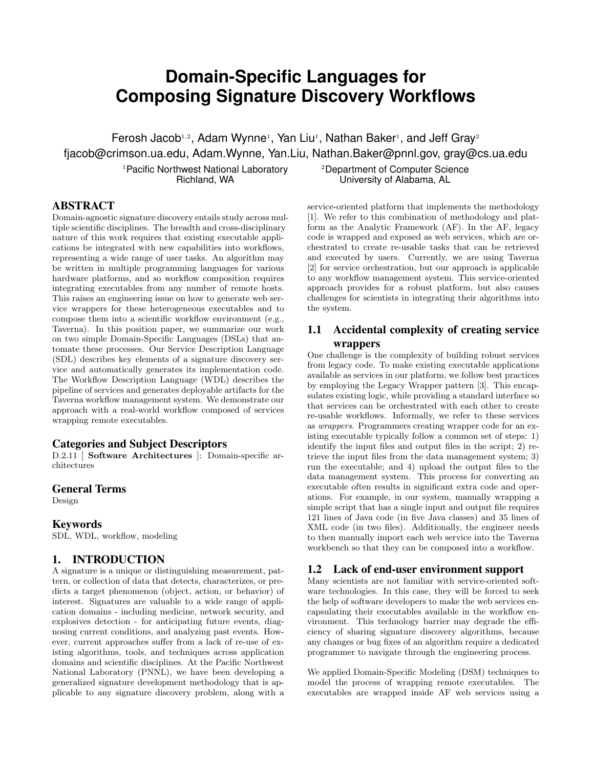# **Domain-Specific Languages for Composing Signature Discovery Workflows**

Ferosh Jacob<sup>1,2</sup>, Adam Wynne<sup>1</sup>, Yan Liu<sup>1</sup>, Nathan Baker<sup>1</sup>, and Jeff Gray<sup>2</sup> fjacob@crimson.ua.edu, Adam.Wynne, Yan.Liu, Nathan.Baker@pnnl.gov, gray@cs.ua.edu

> <sup>1</sup> Pacific Northwest National Laboratory Richland, WA

<sup>2</sup>Department of Computer Science University of Alabama, AL

### ABSTRACT

Domain-agnostic signature discovery entails study across multiple scientific disciplines. The breadth and cross-disciplinary nature of this work requires that existing executable applications be integrated with new capabilities into workflows, representing a wide range of user tasks. An algorithm may be written in multiple programming languages for various hardware platforms, and so workflow composition requires integrating executables from any number of remote hosts. This raises an engineering issue on how to generate web service wrappers for these heterogeneous executables and to compose them into a scientific workflow environment (e.g., Taverna). In this position paper, we summarize our work on two simple Domain-Specific Languages (DSLs) that automate these processes. Our Service Description Language (SDL) describes key elements of a signature discovery service and automatically generates its implementation code. The Workflow Description Language (WDL) describes the pipeline of services and generates deployable artifacts for the Taverna workflow management system. We demonstrate our approach with a real-world workflow composed of services wrapping remote executables.

#### Categories and Subject Descriptors

D.2.11 [ Software Architectures ]: Domain-specific architectures

#### General Terms

Design

### Keywords

SDL, WDL, workflow, modeling

# 1. INTRODUCTION

A signature is a unique or distinguishing measurement, pattern, or collection of data that detects, characterizes, or predicts a target phenomenon (object, action, or behavior) of interest. Signatures are valuable to a wide range of application domains - including medicine, network security, and explosives detection - for anticipating future events, diagnosing current conditions, and analyzing past events. However, current approaches suffer from a lack of re-use of existing algorithms, tools, and techniques across application domains and scientific disciplines. At the Pacific Northwest National Laboratory (PNNL), we have been developing a generalized signature development methodology that is applicable to any signature discovery problem, along with a service-oriented platform that implements the methodology [1]. We refer to this combination of methodology and platform as the Analytic Framework (AF). In the AF, legacy code is wrapped and exposed as web services, which are orchestrated to create re-usable tasks that can be retrieved and executed by users. Currently, we are using Taverna [2] for service orchestration, but our approach is applicable to any workflow management system. This service-oriented approach provides for a robust platform, but also causes challenges for scientists in integrating their algorithms into the system.

# 1.1 Accidental complexity of creating service wrappers

One challenge is the complexity of building robust services from legacy code. To make existing executable applications available as services in our platform, we follow best practices by employing the Legacy Wrapper pattern [3]. This encapsulates existing logic, while providing a standard interface so that services can be orchestrated with each other to create re-usable workflows. Informally, we refer to these services as wrappers. Programmers creating wrapper code for an existing executable typically follow a common set of steps: 1) identify the input files and output files in the script; 2) retrieve the input files from the data management system; 3) run the executable; and 4) upload the output files to the data management system. This process for converting an executable often results in significant extra code and operations. For example, in our system, manually wrapping a simple script that has a single input and output file requires 121 lines of Java code (in five Java classes) and 35 lines of XML code (in two files). Additionally, the engineer needs to then manually import each web service into the Taverna workbench so that they can be composed into a workflow.

### 1.2 Lack of end-user environment support

Many scientists are not familiar with service-oriented software technologies. In this case, they will be forced to seek the help of software developers to make the web services encapsulating their executables available in the workflow environment. This technology barrier may degrade the efficiency of sharing signature discovery algorithms, because any changes or bug fixes of an algorithm require a dedicated programmer to navigate through the engineering process.

We applied Domain-Specific Modeling (DSM) techniques to model the process of wrapping remote executables. The executables are wrapped inside AF web services using a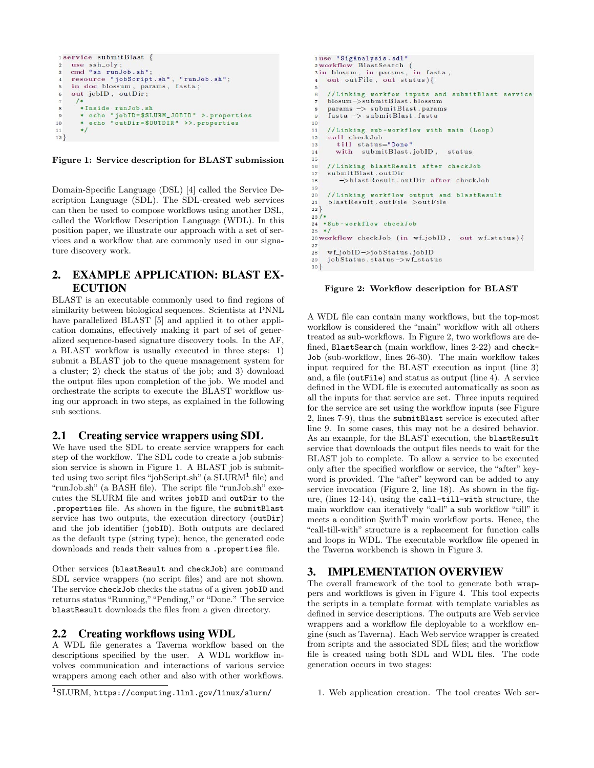```
1service submitBlast {
   use ssh_oly;<br>cmd "sh_runJob.sh";
 \overline{2}resource "jobScript.sh", "runJob.sh";<br>in doc blossum, params, fasta;
 \overline{5}out jobID, outDir;
 \overline{6}/*
        *Inside runJob.sh
 8
 \overline{9}* echo "jobID=$SLURM_JOBID" >.properties
10echo "outDir=$0UTDIR" >>.properties
        */
1112}
```
Figure 1: Service description for BLAST submission

Domain-Specific Language (DSL) [4] called the Service Description Language (SDL). The SDL-created web services can then be used to compose workflows using another DSL, called the Workflow Description Language (WDL). In this position paper, we illustrate our approach with a set of services and a workflow that are commonly used in our signature discovery work.

# 2. EXAMPLE APPLICATION: BLAST EX-ECUTION

BLAST is an executable commonly used to find regions of similarity between biological sequences. Scientists at PNNL have parallelized BLAST [5] and applied it to other application domains, effectively making it part of set of generalized sequence-based signature discovery tools. In the AF, a BLAST workflow is usually executed in three steps: 1) submit a BLAST job to the queue management system for a cluster; 2) check the status of the job; and 3) download the output files upon completion of the job. We model and orchestrate the scripts to execute the BLAST workflow using our approach in two steps, as explained in the following sub sections.

#### 2.1 Creating service wrappers using SDL

We have used the SDL to create service wrappers for each step of the workflow. The SDL code to create a job submission service is shown in Figure 1. A BLAST job is submitted using two script files "jobScript.sh" (a  $SLURM<sup>1</sup>$  file) and "runJob.sh" (a BASH file). The script file "runJob.sh" executes the SLURM file and writes jobID and outDir to the .properties file. As shown in the figure, the submitBlast service has two outputs, the execution directory (outDir) and the job identifier (jobID). Both outputs are declared as the default type (string type); hence, the generated code downloads and reads their values from a .properties file.

Other services (blastResult and checkJob) are command SDL service wrappers (no script files) and are not shown. The service checkJob checks the status of a given jobID and returns status "Running,""Pending," or "Done." The service blastResult downloads the files from a given directory.

### 2.2 Creating workflows using WDL

A WDL file generates a Taverna workflow based on the descriptions specified by the user. A WDL workflow involves communication and interactions of various service wrappers among each other and also with other workflows.

```
1use "SigAnalysis.sdl"
2 workflow BlastSearch (
sin blosum, in params, in fasta,
  out outFile, out status){
    //Linking workfow inputs and submitBlast service<br>blosum->submitBlast.blossum
\epsilonparams -> submitBlast.params
\mathbf{R}fasta -> submitBlast.fasta
\Omega10//Linking sub-workflow with main (Loop)
1112call checkJob
      till status="Done"<br>with submitBlast.jobID,
13
14
                                     status
1516//Linking blastResult after checkJob
17submitBlast.outDir
        ->blastResult.outDir after checkJob
18
19
20
    //Linking workflow output and blastResult
    blastResult.outFile->outFile
\overline{21}22}
23/*24 *Sub-workflow checkJob
25 * 126 workflow checkJob (in wf_jobID, out wf_status){
27wf\_jobID \rightarrow jobStatus.jobID
28
29
    jobStatus.status->wf_status
30<sup>1</sup>
```
Figure 2: Workflow description for BLAST

A WDL file can contain many workflows, but the top-most workflow is considered the "main" workflow with all others treated as sub-workflows. In Figure 2, two workflows are defined, BlastSearch (main workflow, lines 2-22) and check-Job (sub-workflow, lines 26-30). The main workflow takes input required for the BLAST execution as input (line 3) and, a file (outFile) and status as output (line 4). A service defined in the WDL file is executed automatically as soon as all the inputs for that service are set. Three inputs required for the service are set using the workflow inputs (see Figure 2, lines 7-9), thus the submitBlast service is executed after line 9. In some cases, this may not be a desired behavior. As an example, for the BLAST execution, the blastResult service that downloads the output files needs to wait for the BLAST job to complete. To allow a service to be executed only after the specified workflow or service, the "after" keyword is provided. The "after" keyword can be added to any service invocation (Figure 2, line 18). As shown in the figure, (lines 12-14), using the call-till-with structure, the main workflow can iteratively "call" a sub workflow "till" it meets a condition  $\text{Switch}\check{T}$  main workflow ports. Hence, the "call-till-with" structure is a replacement for function calls and loops in WDL. The executable workflow file opened in the Taverna workbench is shown in Figure 3.

#### 3. IMPLEMENTATION OVERVIEW

The overall framework of the tool to generate both wrappers and workflows is given in Figure 4. This tool expects the scripts in a template format with template variables as defined in service descriptions. The outputs are Web service wrappers and a workflow file deployable to a workflow engine (such as Taverna). Each Web service wrapper is created from scripts and the associated SDL files; and the workflow file is created using both SDL and WDL files. The code generation occurs in two stages:

<sup>1</sup>SLURM, https://computing.llnl.gov/linux/slurm/

<sup>1.</sup> Web application creation. The tool creates Web ser-